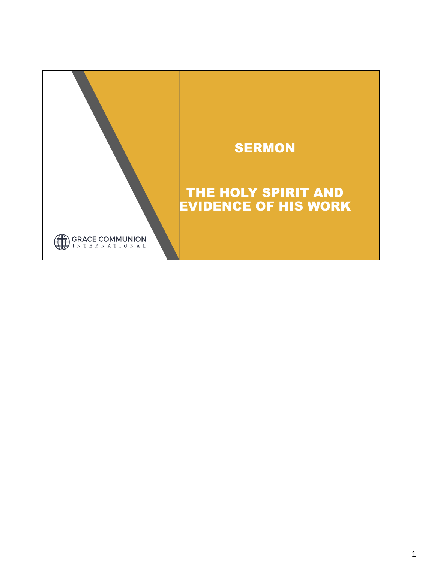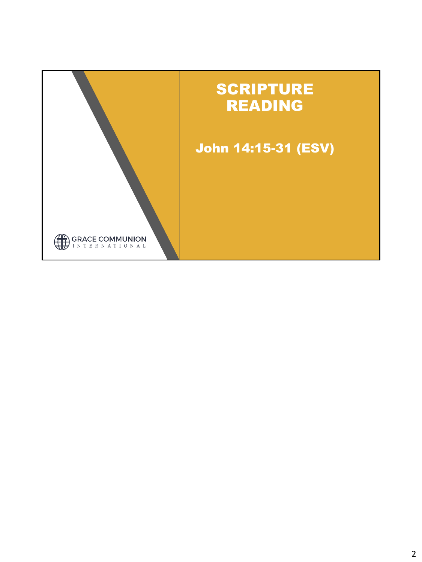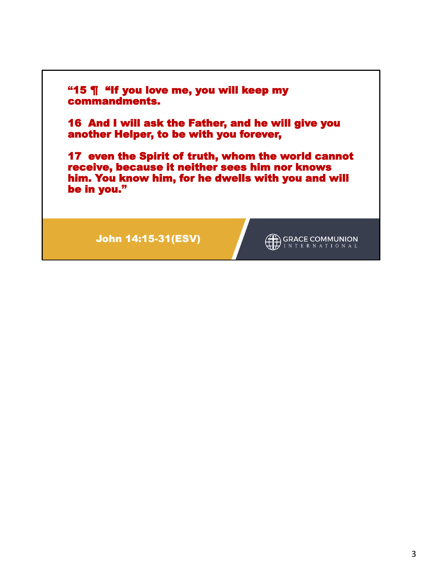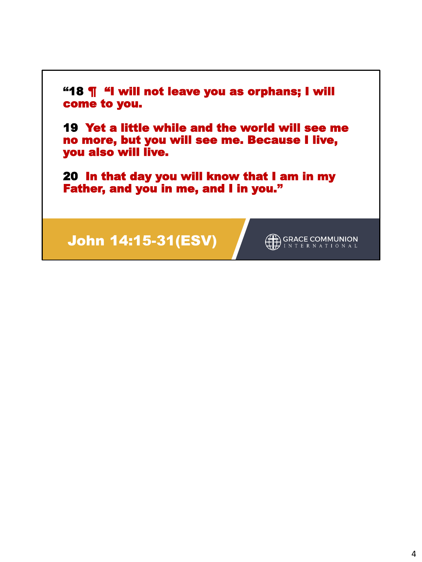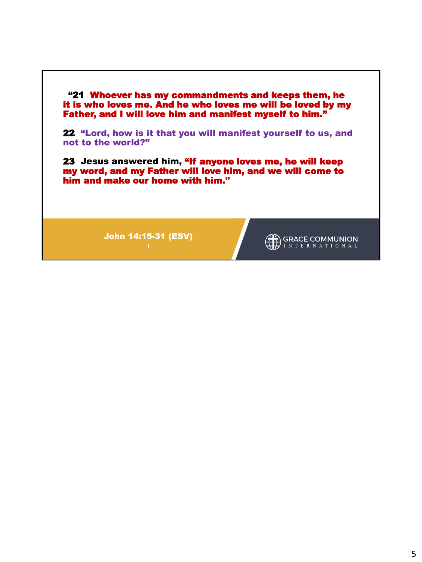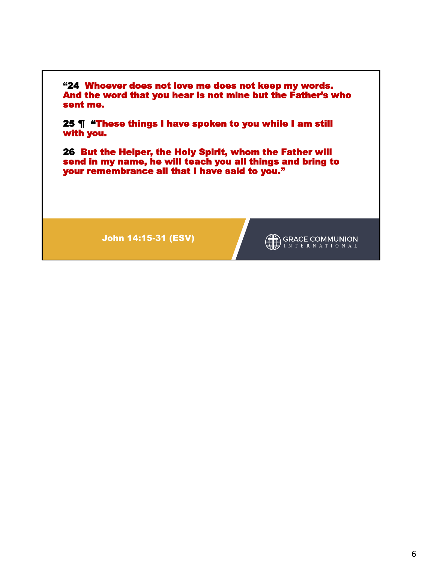

John 14:15-31 (ESV)

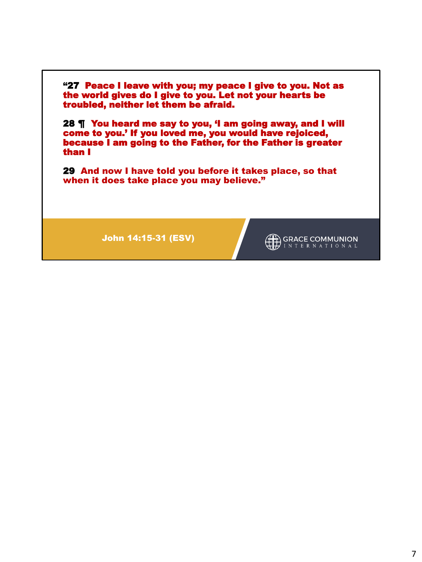

John 14:15-31 (ESV)

GRACE COMMUNION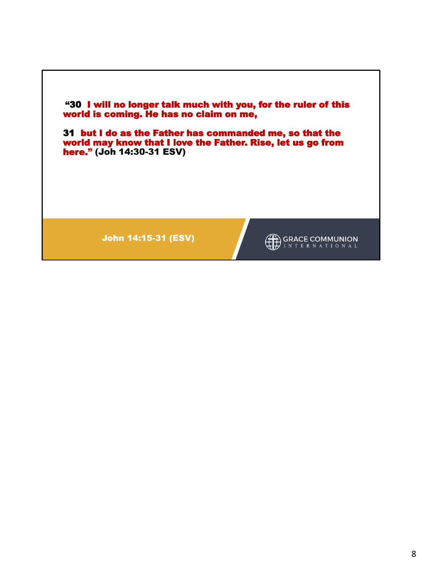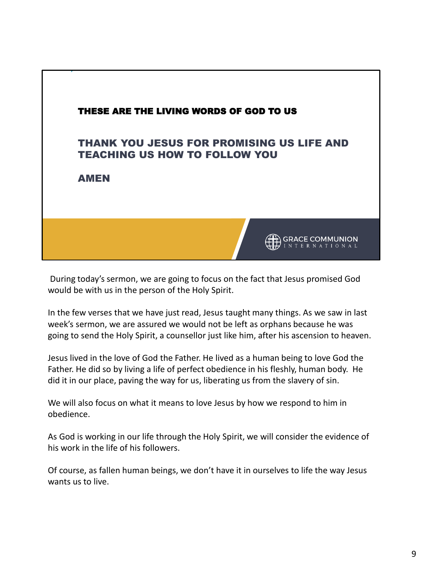

During today's sermon, we are going to focus on the fact that Jesus promised God would be with us in the person of the Holy Spirit.

In the few verses that we have just read, Jesus taught many things. As we saw in last week's sermon, we are assured we would not be left as orphans because he was going to send the Holy Spirit, a counsellor just like him, after his ascension to heaven.

Jesus lived in the love of God the Father. He lived as a human being to love God the Father. He did so by living a life of perfect obedience in his fleshly, human body. He did it in our place, paving the way for us, liberating us from the slavery of sin.

We will also focus on what it means to love Jesus by how we respond to him in obedience.

As God is working in our life through the Holy Spirit, we will consider the evidence of his work in the life of his followers.

Of course, as fallen human beings, we don't have it in ourselves to life the way Jesus wants us to live.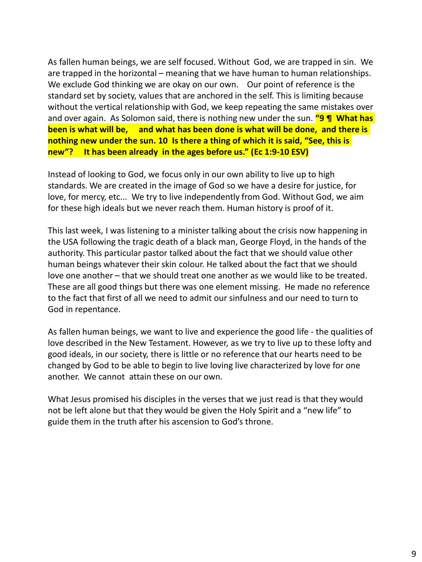As fallen human beings, we are self focused. Without God, we are trapped in sin. We are trapped in the horizontal – meaning that we have human to human relationships. We exclude God thinking we are okay on our own. Our point of reference is the standard set by society, values that are anchored in the self. This is limiting because without the vertical relationship with God, we keep repeating the same mistakes over and over again. As Solomon said, there is nothing new under the sun. **"9 ¶ What has been is what will be, and what has been done is what will be done, and there is nothing new under the sun. 10 Is there a thing of which it is said, "See, this is new"? It has been already in the ages before us." (Ec 1:9-10 ESV)**

Instead of looking to God, we focus only in our own ability to live up to high standards. We are created in the image of God so we have a desire for justice, for love, for mercy, etc... We try to live independently from God. Without God, we aim for these high ideals but we never reach them. Human history is proof of it.

This last week, I was listening to a minister talking about the crisis now happening in the USA following the tragic death of a black man, George Floyd, in the hands of the authority. This particular pastor talked about the fact that we should value other human beings whatever their skin colour. He talked about the fact that we should love one another – that we should treat one another as we would like to be treated. These are all good things but there was one element missing. He made no reference to the fact that first of all we need to admit our sinfulness and our need to turn to God in repentance.

As fallen human beings, we want to live and experience the good life - the qualities of love described in the New Testament. However, as we try to live up to these lofty and good ideals, in our society, there is little or no reference that our hearts need to be changed by God to be able to begin to live loving live characterized by love for one another. We cannot attain these on our own.

What Jesus promised his disciples in the verses that we just read is that they would not be left alone but that they would be given the Holy Spirit and a "new life" to guide them in the truth after his ascension to God's throne.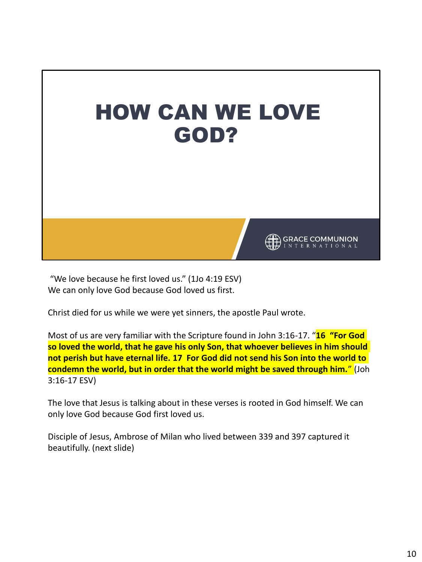

"We love because he first loved us." (1Jo 4:19 ESV) We can only love God because God loved us first.

Christ died for us while we were yet sinners, the apostle Paul wrote.

Most of us are very familiar with the Scripture found in John 3:16-17. "**16 "For God so loved the world, that he gave his only Son, that whoever believes in him should not perish but have eternal life. 17 For God did not send his Son into the world to condemn the world, but in order that the world might be saved through him.**" (Joh 3:16-17 ESV)

The love that Jesus is talking about in these verses is rooted in God himself. We can only love God because God first loved us.

Disciple of Jesus, Ambrose of Milan who lived between 339 and 397 captured it beautifully. (next slide)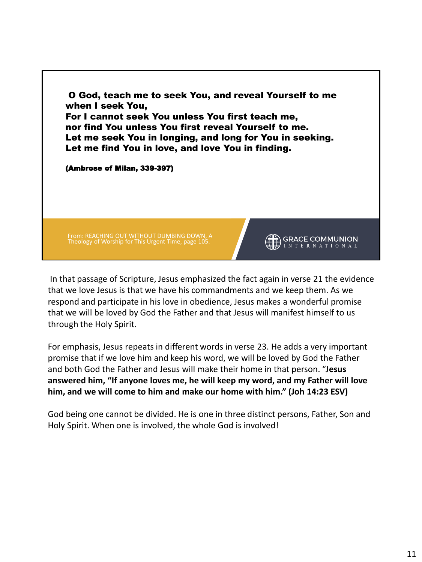

In that passage of Scripture, Jesus emphasized the fact again in verse 21 the evidence that we love Jesus is that we have his commandments and we keep them. As we respond and participate in his love in obedience, Jesus makes a wonderful promise that we will be loved by God the Father and that Jesus will manifest himself to us through the Holy Spirit.

For emphasis, Jesus repeats in different words in verse 23. He adds a very important promise that if we love him and keep his word, we will be loved by God the Father and both God the Father and Jesus will make their home in that person. "J**esus answered him, "If anyone loves me, he will keep my word, and my Father will love him, and we will come to him and make our home with him." (Joh 14:23 ESV)**

God being one cannot be divided. He is one in three distinct persons, Father, Son and Holy Spirit. When one is involved, the whole God is involved!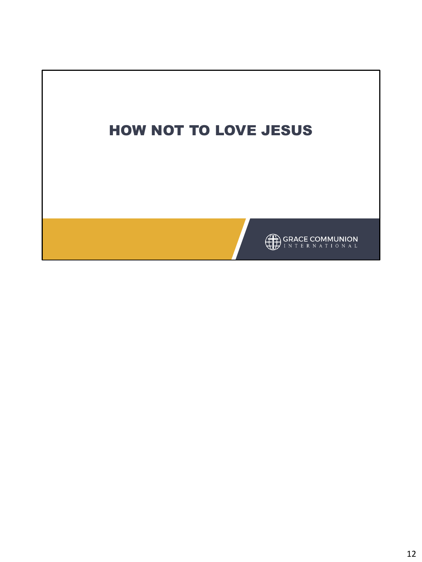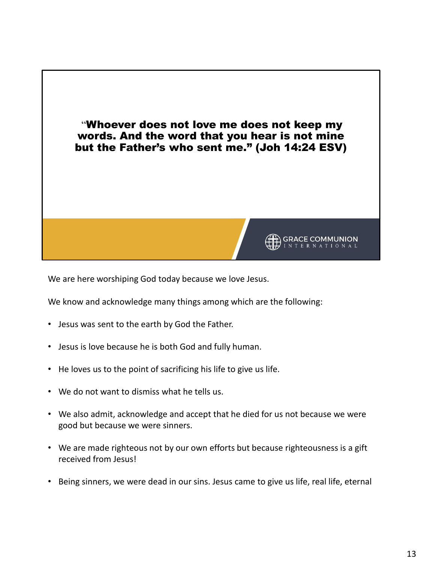

We are here worshiping God today because we love Jesus.

We know and acknowledge many things among which are the following:

- Jesus was sent to the earth by God the Father.
- Jesus is love because he is both God and fully human.
- He loves us to the point of sacrificing his life to give us life.
- We do not want to dismiss what he tells us.
- We also admit, acknowledge and accept that he died for us not because we were good but because we were sinners.
- We are made righteous not by our own efforts but because righteousness is a gift received from Jesus!
- Being sinners, we were dead in our sins. Jesus came to give us life, real life, eternal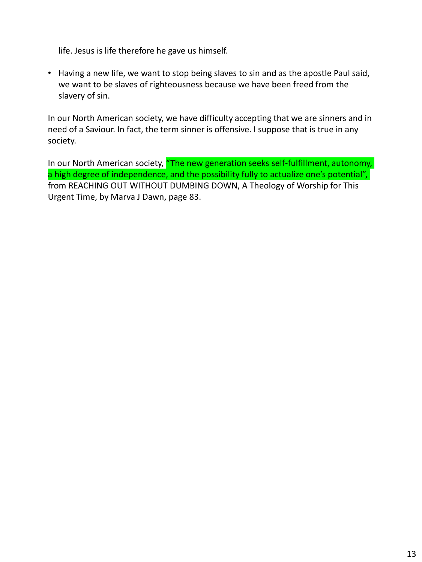life. Jesus is life therefore he gave us himself.

• Having a new life, we want to stop being slaves to sin and as the apostle Paul said, we want to be slaves of righteousness because we have been freed from the slavery of sin.

In our North American society, we have difficulty accepting that we are sinners and in need of a Saviour. In fact, the term sinner is offensive. I suppose that is true in any society.

In our North American society, "The new generation seeks self-fulfillment, autonomy, a high degree of independence, and the possibility fully to actualize one's potential", from REACHING OUT WITHOUT DUMBING DOWN, A Theology of Worship for This Urgent Time, by Marva J Dawn, page 83.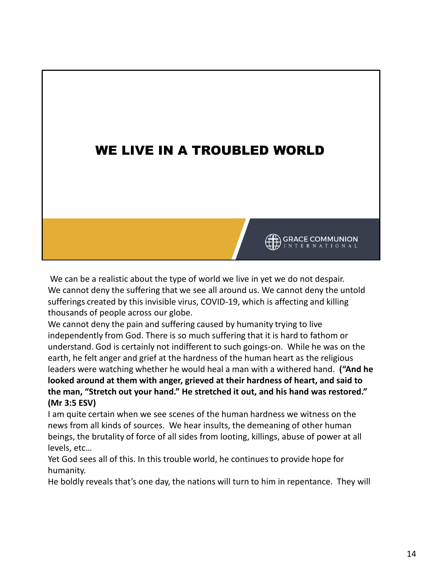# WE LIVE IN A TROUBLED WORLD

We can be a realistic about the type of world we live in yet we do not despair. We cannot deny the suffering that we see all around us. We cannot deny the untold sufferings created by this invisible virus, COVID-19, which is affecting and killing thousands of people across our globe.

**GRACE COMMUNION** 

We cannot deny the pain and suffering caused by humanity trying to live independently from God. There is so much suffering that it is hard to fathom or understand. God is certainly not indifferent to such goings-on. While he was on the earth, he felt anger and grief at the hardness of the human heart as the religious leaders were watching whether he would heal a man with a withered hand. **("And he looked around at them with anger, grieved at their hardness of heart, and said to the man, "Stretch out your hand." He stretched it out, and his hand was restored." (Mr 3:5 ESV)**

I am quite certain when we see scenes of the human hardness we witness on the news from all kinds of sources. We hear insults, the demeaning of other human beings, the brutality of force of all sides from looting, killings, abuse of power at all levels, etc…

Yet God sees all of this. In this trouble world, he continues to provide hope for humanity.

He boldly reveals that's one day, the nations will turn to him in repentance. They will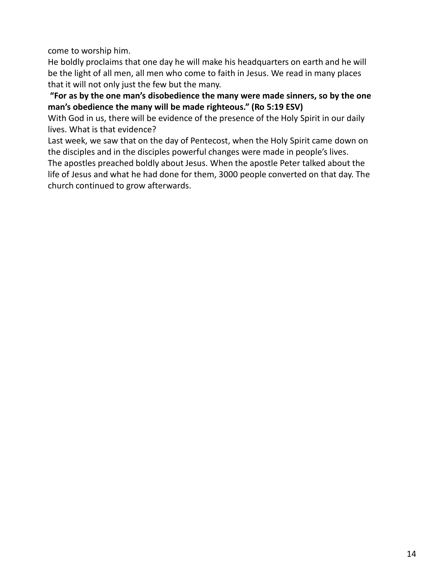come to worship him.

He boldly proclaims that one day he will make his headquarters on earth and he will be the light of all men, all men who come to faith in Jesus. We read in many places that it will not only just the few but the many.

**"For as by the one man's disobedience the many were made sinners, so by the one man's obedience the many will be made righteous." (Ro 5:19 ESV)**

With God in us, there will be evidence of the presence of the Holy Spirit in our daily lives. What is that evidence?

Last week, we saw that on the day of Pentecost, when the Holy Spirit came down on the disciples and in the disciples powerful changes were made in people's lives.

The apostles preached boldly about Jesus. When the apostle Peter talked about the life of Jesus and what he had done for them, 3000 people converted on that day. The church continued to grow afterwards.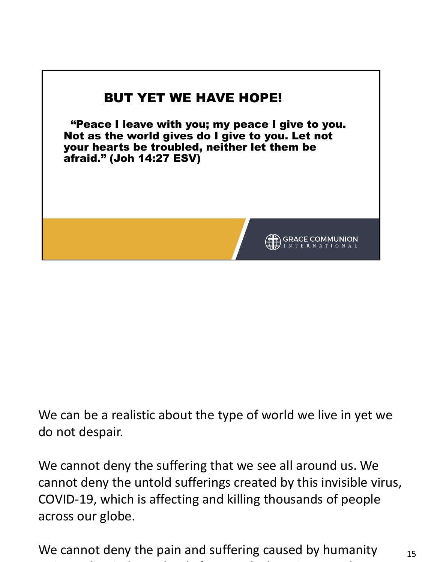

We can be a realistic about the type of world we live in yet we do not despair.

We cannot deny the suffering that we see all around us. We cannot deny the untold sufferings created by this invisible virus, COVID-19, which is affecting and killing thousands of people across our globe.

15 We cannot deny the pain and suffering caused by humanity trying to live independently from God. There is so much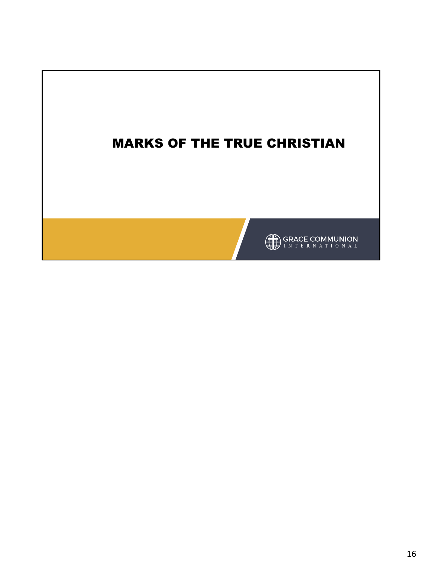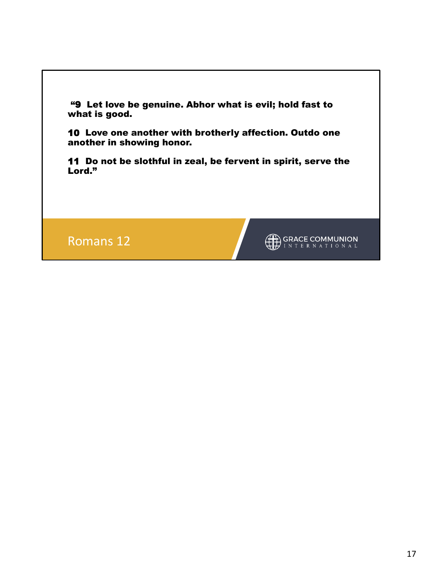"9 Let love be genuine. Abhor what is evil; hold fast to what is good.

10 Love one another with brotherly affection. Outdo one another in showing honor.

11 Do not be slothful in zeal, be fervent in spirit, serve the Lord."

Romans 12

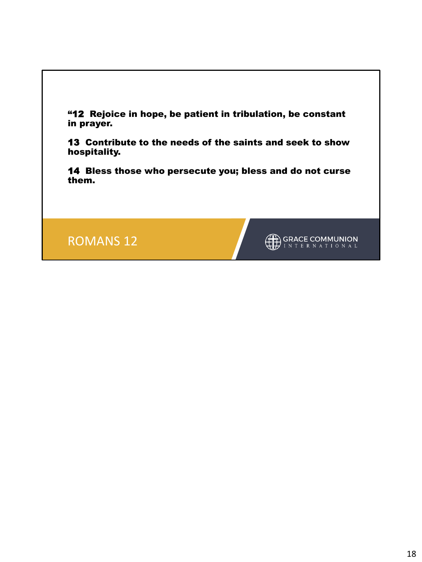

13 Contribute to the needs of the saints and seek to show hospitality.

14 Bless those who persecute you; bless and do not curse them.

ROMANS 12

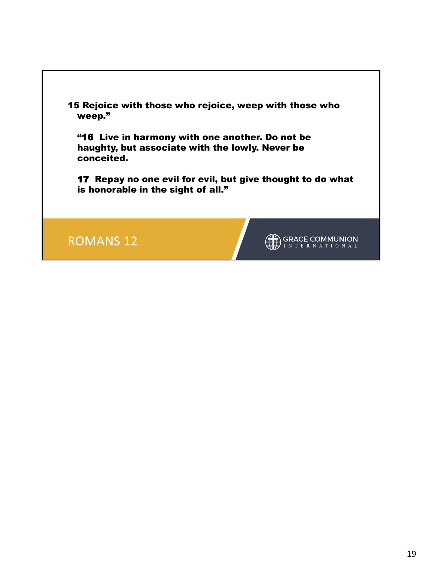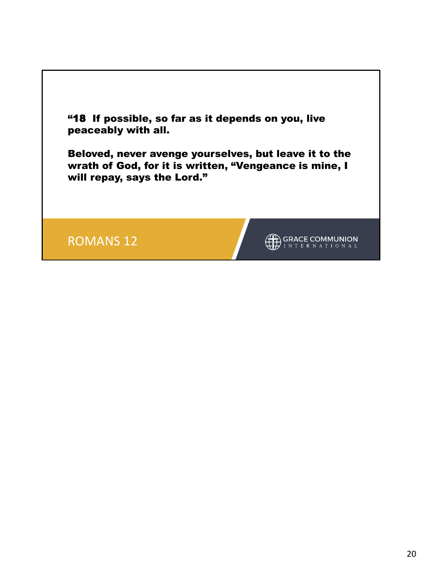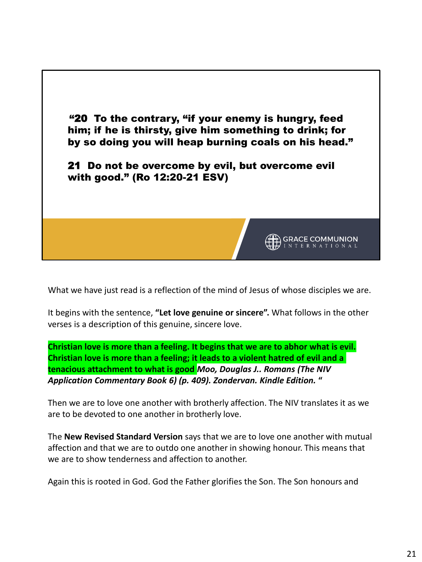

What we have just read is a reflection of the mind of Jesus of whose disciples we are.

It begins with the sentence, **"Let love genuine or sincere".** What follows in the other verses is a description of this genuine, sincere love.

**Christian love is more than a feeling. It begins that we are to abhor what is evil. Christian love is more than a feeling; it leads to a violent hatred of evil and a tenacious attachment to what is good** *Moo, Douglas J.. Romans (The NIV Application Commentary Book 6) (p. 409). Zondervan. Kindle Edition.* **"**

Then we are to love one another with brotherly affection. The NIV translates it as we are to be devoted to one another in brotherly love.

The **New Revised Standard Version** says that we are to love one another with mutual affection and that we are to outdo one another in showing honour. This means that we are to show tenderness and affection to another.

Again this is rooted in God. God the Father glorifies the Son. The Son honours and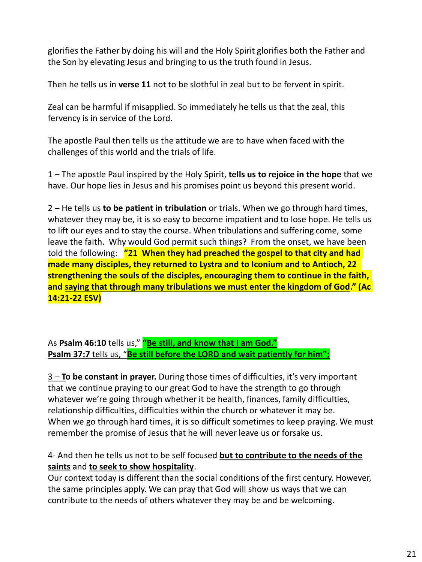glorifies the Father by doing his will and the Holy Spirit glorifies both the Father and the Son by elevating Jesus and bringing to us the truth found in Jesus.

Then he tells us in **verse 11** not to be slothful in zeal but to be fervent in spirit.

Zeal can be harmful if misapplied. So immediately he tells us that the zeal, this fervency is in service of the Lord.

The apostle Paul then tells us the attitude we are to have when faced with the challenges of this world and the trials of life.

1 – The apostle Paul inspired by the Holy Spirit, **tells us to rejoice in the hope** that we have. Our hope lies in Jesus and his promises point us beyond this present world.

2 – He tells us **to be patient in tribulation** or trials. When we go through hard times, whatever they may be, it is so easy to become impatient and to lose hope. He tells us to lift our eyes and to stay the course. When tribulations and suffering come, some leave the faith. Why would God permit such things? From the onset, we have been told the following: **"21 When they had preached the gospel to that city and had made many disciples, they returned to Lystra and to Iconium and to Antioch, 22 strengthening the souls of the disciples, encouraging them to continue in the faith, and saying that through many tribulations we must enter the kingdom of God." (Ac 14:21-22 ESV)**

As **Psalm 46:10** tells us," **"Be still, and know that I am God." Psalm 37:7 tells us, "Be still before the LORD and wait patiently for him";** 

3 – **To be constant in prayer.** During those times of difficulties, it's very important that we continue praying to our great God to have the strength to go through whatever we're going through whether it be health, finances, family difficulties, relationship difficulties, difficulties within the church or whatever it may be. When we go through hard times, it is so difficult sometimes to keep praying. We must remember the promise of Jesus that he will never leave us or forsake us.

# 4- And then he tells us not to be self focused **but to contribute to the needs of the saints** and **to seek to show hospitality**.

Our context today is different than the social conditions of the first century. However, the same principles apply. We can pray that God will show us ways that we can contribute to the needs of others whatever they may be and be welcoming.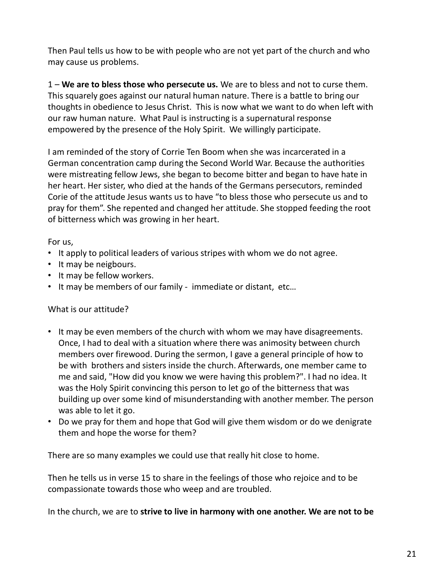Then Paul tells us how to be with people who are not yet part of the church and who may cause us problems.

1 – **We are to bless those who persecute us.** We are to bless and not to curse them. This squarely goes against our natural human nature. There is a battle to bring our thoughts in obedience to Jesus Christ. This is now what we want to do when left with our raw human nature. What Paul is instructing is a supernatural response empowered by the presence of the Holy Spirit. We willingly participate.

I am reminded of the story of Corrie Ten Boom when she was incarcerated in a German concentration camp during the Second World War. Because the authorities were mistreating fellow Jews, she began to become bitter and began to have hate in her heart. Her sister, who died at the hands of the Germans persecutors, reminded Corie of the attitude Jesus wants us to have "to bless those who persecute us and to pray for them". She repented and changed her attitude. She stopped feeding the root of bitterness which was growing in her heart.

For us,

- It apply to political leaders of various stripes with whom we do not agree.
- It may be neigbours.
- It may be fellow workers.
- It may be members of our family immediate or distant, etc…

## What is our attitude?

- It may be even members of the church with whom we may have disagreements. Once, I had to deal with a situation where there was animosity between church members over firewood. During the sermon, I gave a general principle of how to be with brothers and sisters inside the church. Afterwards, one member came to me and said, "How did you know we were having this problem?". I had no idea. It was the Holy Spirit convincing this person to let go of the bitterness that was building up over some kind of misunderstanding with another member. The person was able to let it go.
- Do we pray for them and hope that God will give them wisdom or do we denigrate them and hope the worse for them?

There are so many examples we could use that really hit close to home.

Then he tells us in verse 15 to share in the feelings of those who rejoice and to be compassionate towards those who weep and are troubled.

In the church, we are to **strive to live in harmony with one another. We are not to be**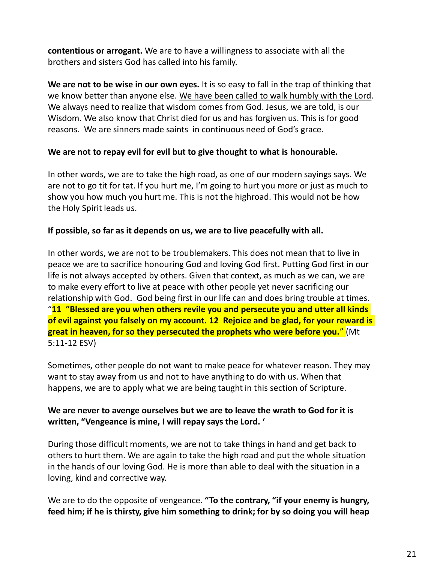**contentious or arrogant.** We are to have a willingness to associate with all the brothers and sisters God has called into his family.

**We are not to be wise in our own eyes.** It is so easy to fall in the trap of thinking that we know better than anyone else. We have been called to walk humbly with the Lord. We always need to realize that wisdom comes from God. Jesus, we are told, is our Wisdom. We also know that Christ died for us and has forgiven us. This is for good reasons. We are sinners made saints in continuous need of God's grace.

#### **We are not to repay evil for evil but to give thought to what is honourable.**

In other words, we are to take the high road, as one of our modern sayings says. We are not to go tit for tat. If you hurt me, I'm going to hurt you more or just as much to show you how much you hurt me. This is not the highroad. This would not be how the Holy Spirit leads us.

#### **If possible, so far as it depends on us, we are to live peacefully with all.**

In other words, we are not to be troublemakers. This does not mean that to live in peace we are to sacrifice honouring God and loving God first. Putting God first in our life is not always accepted by others. Given that context, as much as we can, we are to make every effort to live at peace with other people yet never sacrificing our relationship with God. God being first in our life can and does bring trouble at times. "**11 "Blessed are you when others revile you and persecute you and utter all kinds of evil against you falsely on my account. 12 Rejoice and be glad, for your reward is great in heaven, for so they persecuted the prophets who were before you.**" (Mt 5:11-12 ESV)

Sometimes, other people do not want to make peace for whatever reason. They may want to stay away from us and not to have anything to do with us. When that happens, we are to apply what we are being taught in this section of Scripture.

## **We are never to avenge ourselves but we are to leave the wrath to God for it is written, "Vengeance is mine, I will repay says the Lord. '**

During those difficult moments, we are not to take things in hand and get back to others to hurt them. We are again to take the high road and put the whole situation in the hands of our loving God. He is more than able to deal with the situation in a loving, kind and corrective way.

We are to do the opposite of vengeance. **"To the contrary, "if your enemy is hungry, feed him; if he is thirsty, give him something to drink; for by so doing you will heap**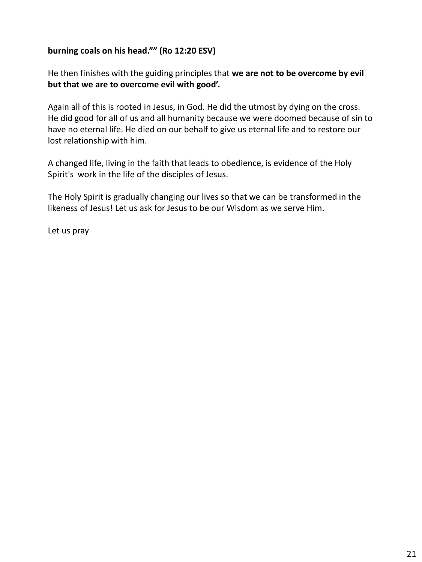#### **burning coals on his head."" (Ro 12:20 ESV)**

He then finishes with the guiding principles that **we are not to be overcome by evil but that we are to overcome evil with good'.**

Again all of this is rooted in Jesus, in God. He did the utmost by dying on the cross. He did good for all of us and all humanity because we were doomed because of sin to have no eternal life. He died on our behalf to give us eternal life and to restore our lost relationship with him.

A changed life, living in the faith that leads to obedience, is evidence of the Holy Spirit's work in the life of the disciples of Jesus.

The Holy Spirit is gradually changing our lives so that we can be transformed in the likeness of Jesus! Let us ask for Jesus to be our Wisdom as we serve Him.

Let us pray